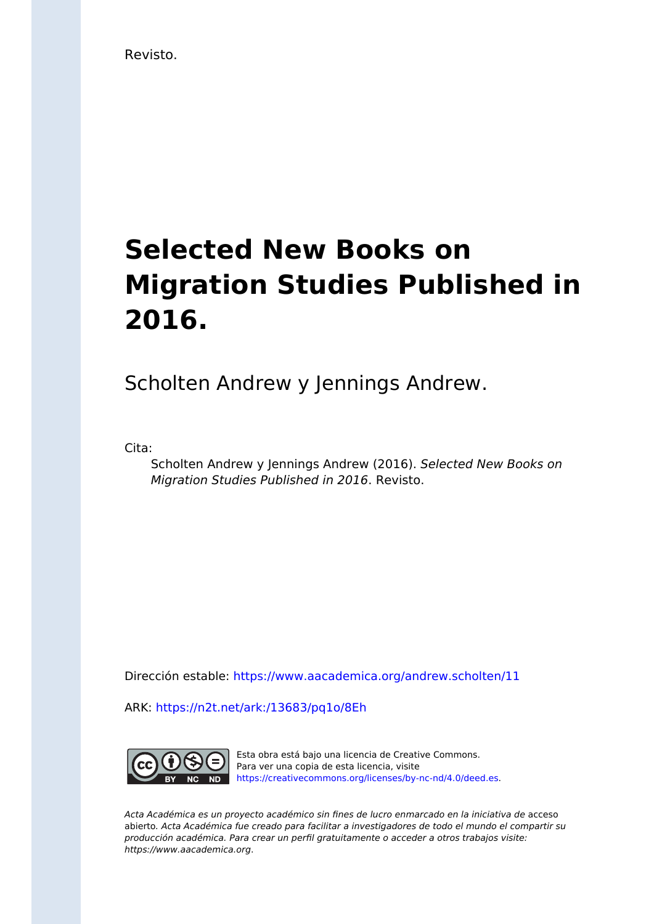Revisto.

## **Selected New Books on Migration Studies Published in 2016.**

Scholten Andrew y Jennings Andrew.

Cita:

Scholten Andrew y Jennings Andrew (2016). Selected New Books on Migration Studies Published in 2016. Revisto.

Dirección estable:<https://www.aacademica.org/andrew.scholten/11>

ARK: <https://n2t.net/ark:/13683/pq1o/8Eh>



Esta obra está bajo una licencia de Creative Commons. Para ver una copia de esta licencia, visite [https://creativecommons.org/licenses/by-nc-nd/4.0/deed.es.](https://creativecommons.org/licenses/by-nc-nd/4.0/deed.es)

Acta Académica es un proyecto académico sin fines de lucro enmarcado en la iniciativa de acceso abierto. Acta Académica fue creado para facilitar a investigadores de todo el mundo el compartir su producción académica. Para crear un perfil gratuitamente o acceder a otros trabajos visite: https://www.aacademica.org.